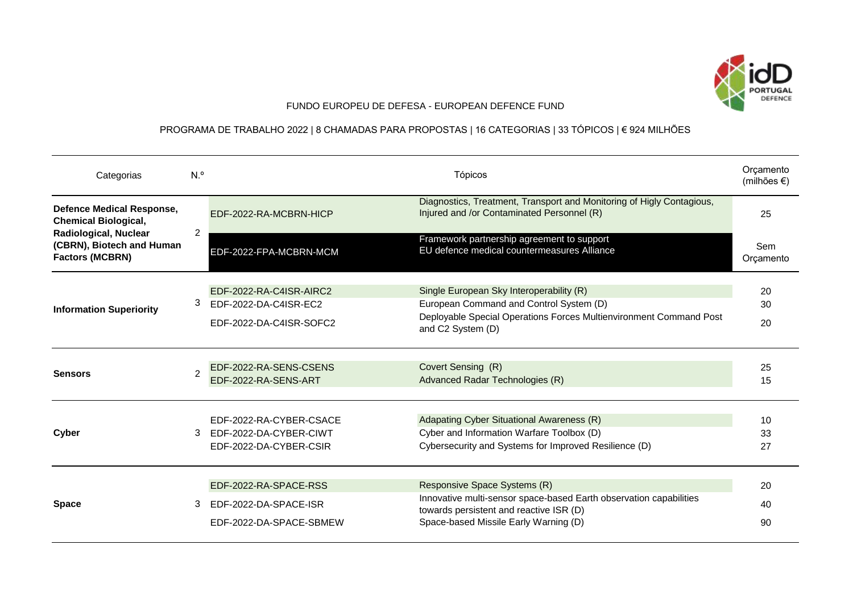

## FUNDO EUROPEU DE DEFESA - EUROPEAN DEFENCE FUND

## PROGRAMA DE TRABALHO 2022 | 8 CHAMADAS PARA PROPOSTAS | 16 CATEGORIAS | 33 TÓPICOS | € 924 MILHÕES

| Categorias                                                                                                                                             | N. <sup>o</sup> |                                                                             | Tópicos                                                                                                                                                                                | Orçamento<br>(milhões €) |
|--------------------------------------------------------------------------------------------------------------------------------------------------------|-----------------|-----------------------------------------------------------------------------|----------------------------------------------------------------------------------------------------------------------------------------------------------------------------------------|--------------------------|
| <b>Defence Medical Response,</b><br><b>Chemical Biological,</b><br><b>Radiological, Nuclear</b><br>(CBRN), Biotech and Human<br><b>Factors (MCBRN)</b> | 2               | EDF-2022-RA-MCBRN-HICP                                                      | Diagnostics, Treatment, Transport and Monitoring of Higly Contagious,<br>Injured and /or Contaminated Personnel (R)                                                                    | 25                       |
|                                                                                                                                                        |                 | EDF-2022-FPA-MCBRN-MCM                                                      | Framework partnership agreement to support<br>EU defence medical countermeasures Alliance                                                                                              | Sem<br>Orçamento         |
| <b>Information Superiority</b>                                                                                                                         | 3               | EDF-2022-RA-C4ISR-AIRC2<br>EDF-2022-DA-C4ISR-EC2<br>EDF-2022-DA-C4ISR-SOFC2 | Single European Sky Interoperability (R)<br>European Command and Control System (D)<br>Deployable Special Operations Forces Multienvironment Command Post<br>and C2 System (D)         | 20<br>30<br>20           |
| <b>Sensors</b>                                                                                                                                         | $\mathcal{P}$   | EDF-2022-RA-SENS-CSENS<br>EDF-2022-RA-SENS-ART                              | Covert Sensing (R)<br>Advanced Radar Technologies (R)                                                                                                                                  | 25<br>15                 |
| Cyber                                                                                                                                                  | 3               | EDF-2022-RA-CYBER-CSACE<br>EDF-2022-DA-CYBER-CIWT<br>EDF-2022-DA-CYBER-CSIR | Adapating Cyber Situational Awareness (R)<br>Cyber and Information Warfare Toolbox (D)<br>Cybersecurity and Systems for Improved Resilience (D)                                        | 10<br>33<br>27           |
| <b>Space</b>                                                                                                                                           | 3               | EDF-2022-RA-SPACE-RSS<br>EDF-2022-DA-SPACE-ISR<br>EDF-2022-DA-SPACE-SBMEW   | Responsive Space Systems (R)<br>Innovative multi-sensor space-based Earth observation capabilities<br>towards persistent and reactive ISR (D)<br>Space-based Missile Early Warning (D) | 20<br>40<br>90           |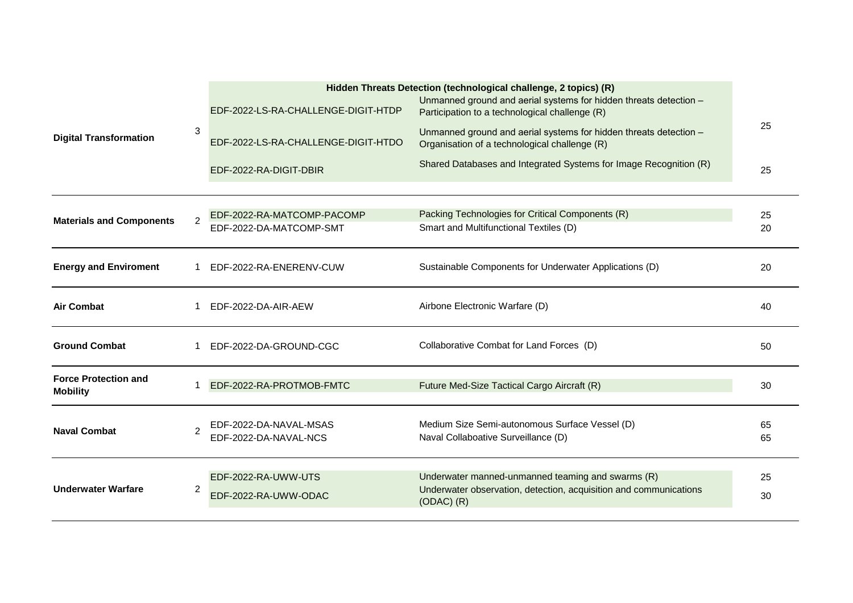| <b>Digital Transformation</b>                  | 3              | EDF-2022-LS-RA-CHALLENGE-DIGIT-HTDP<br>EDF-2022-LS-RA-CHALLENGE-DIGIT-HTDO<br>EDF-2022-RA-DIGIT-DBIR | Hidden Threats Detection (technological challenge, 2 topics) (R)<br>Unmanned ground and aerial systems for hidden threats detection -<br>Participation to a technological challenge (R)<br>Unmanned ground and aerial systems for hidden threats detection -<br>Organisation of a technological challenge (R)<br>Shared Databases and Integrated Systems for Image Recognition (R) | 25<br>25 |
|------------------------------------------------|----------------|------------------------------------------------------------------------------------------------------|------------------------------------------------------------------------------------------------------------------------------------------------------------------------------------------------------------------------------------------------------------------------------------------------------------------------------------------------------------------------------------|----------|
| <b>Materials and Components</b>                | $\mathfrak{p}$ | EDF-2022-RA-MATCOMP-PACOMP<br>EDF-2022-DA-MATCOMP-SMT                                                | Packing Technologies for Critical Components (R)<br>Smart and Multifunctional Textiles (D)                                                                                                                                                                                                                                                                                         | 25<br>20 |
| <b>Energy and Enviroment</b>                   |                | EDF-2022-RA-ENERENV-CUW                                                                              | Sustainable Components for Underwater Applications (D)                                                                                                                                                                                                                                                                                                                             | 20       |
| <b>Air Combat</b>                              |                | EDF-2022-DA-AIR-AEW                                                                                  | Airbone Electronic Warfare (D)                                                                                                                                                                                                                                                                                                                                                     | 40       |
| <b>Ground Combat</b>                           |                | EDF-2022-DA-GROUND-CGC                                                                               | Collaborative Combat for Land Forces (D)                                                                                                                                                                                                                                                                                                                                           | 50       |
| <b>Force Protection and</b><br><b>Mobility</b> |                | EDF-2022-RA-PROTMOB-FMTC                                                                             | Future Med-Size Tactical Cargo Aircraft (R)                                                                                                                                                                                                                                                                                                                                        | 30       |
| <b>Naval Combat</b>                            | $\mathfrak{p}$ | EDF-2022-DA-NAVAL-MSAS<br>EDF-2022-DA-NAVAL-NCS                                                      | Medium Size Semi-autonomous Surface Vessel (D)<br>Naval Collaboative Surveillance (D)                                                                                                                                                                                                                                                                                              | 65<br>65 |
| <b>Underwater Warfare</b>                      | $\overline{2}$ | EDF-2022-RA-UWW-UTS<br>EDF-2022-RA-UWW-ODAC                                                          | Underwater manned-unmanned teaming and swarms (R)<br>Underwater observation, detection, acquisition and communications<br>$(ODAC)$ $(R)$                                                                                                                                                                                                                                           | 25<br>30 |